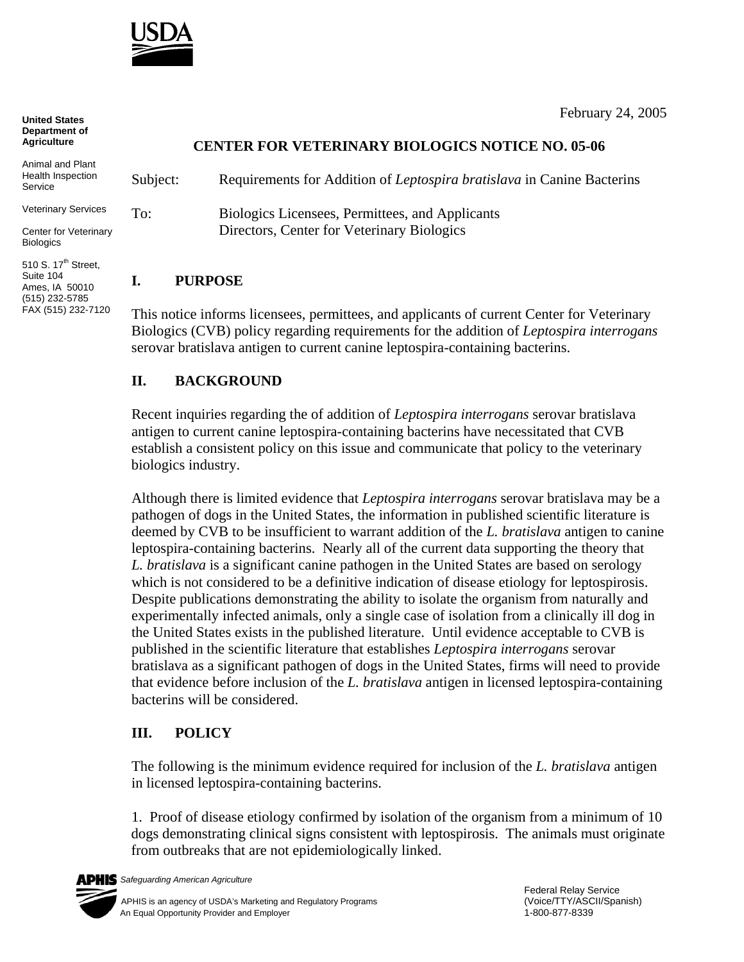

| UIIIIGU UIAIGS<br>Department of<br><b>Agriculture</b>                                                                               |          | <b>CENTER FOR VETERINARY BIOLOGICS NOTICE NO. 05-06</b>                |
|-------------------------------------------------------------------------------------------------------------------------------------|----------|------------------------------------------------------------------------|
| Animal and Plant<br>Health Inspection<br>Service                                                                                    | Subject: | Requirements for Addition of Leptospira bratislava in Canine Bacterins |
| <b>Veterinary Services</b>                                                                                                          | To:      | Biologics Licensees, Permittees, and Applicants                        |
| Center for Veterinary<br><b>Biologics</b>                                                                                           |          | Directors, Center for Veterinary Biologics                             |
| $\mathbf{a}$ and $\mathbf{a}$ and $\mathbf{a}$ and $\mathbf{a}$ and $\mathbf{a}$ and $\mathbf{a}$ and $\mathbf{a}$ and $\mathbf{a}$ |          |                                                                        |

## **I. PURPOSE**

This notice informs licensees, permittees, and applicants of current Center for Veterinary Biologics (CVB) policy regarding requirements for the addition of *Leptospira interrogans* serovar bratislava antigen to current canine leptospira-containing bacterins.

## **II. BACKGROUND**

Recent inquiries regarding the of addition of *Leptospira interrogans* serovar bratislava antigen to current canine leptospira-containing bacterins have necessitated that CVB establish a consistent policy on this issue and communicate that policy to the veterinary biologics industry.

Although there is limited evidence that *Leptospira interrogans* serovar bratislava may be a pathogen of dogs in the United States, the information in published scientific literature is deemed by CVB to be insufficient to warrant addition of the *L. bratislava* antigen to canine leptospira-containing bacterins. Nearly all of the current data supporting the theory that *L. bratislava* is a significant canine pathogen in the United States are based on serology which is not considered to be a definitive indication of disease etiology for leptospirosis. Despite publications demonstrating the ability to isolate the organism from naturally and experimentally infected animals, only a single case of isolation from a clinically ill dog in the United States exists in the published literature. Until evidence acceptable to CVB is published in the scientific literature that establishes *Leptospira interrogans* serovar bratislava as a significant pathogen of dogs in the United States, firms will need to provide that evidence before inclusion of the *L. bratislava* antigen in licensed leptospira-containing bacterins will be considered.

## **III. POLICY**

The following is the minimum evidence required for inclusion of the *L. bratislava* antigen in licensed leptospira-containing bacterins.

1. Proof of disease etiology confirmed by isolation of the organism from a minimum of 10 dogs demonstrating clinical signs consistent with leptospirosis. The animals must originate from outbreaks that are not epidemiologically linked.



February 24, 2005

510 S.  $17<sup>th</sup>$  Street, Suite 104 Ames, IA 50010 (515) 232-5785 FAX (515) 232-7120

**United States**